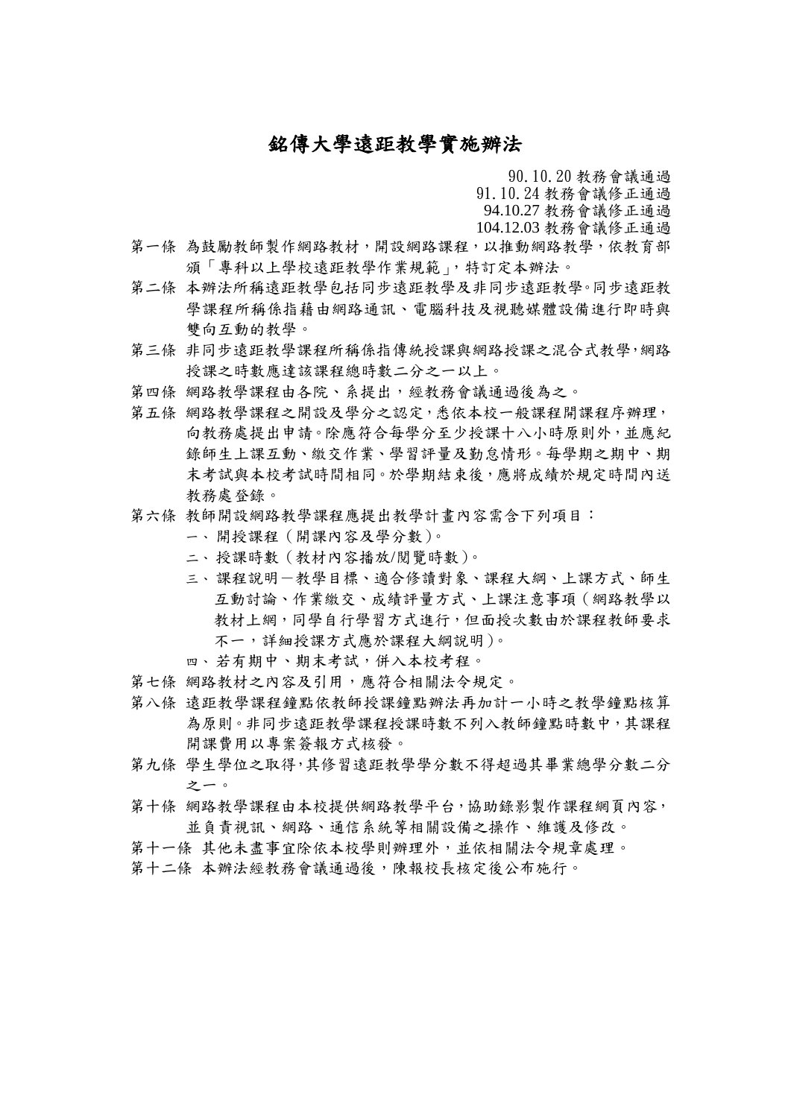## 銘傳大學遠距教學實施辦法

90.10.20 教務會議通過

91.10.24 教務會議修正通過

94.10.27 教務會議修正通過

104.12.03 教務會議修正通過

- 第一條 為鼓勵教師製作網路教材,開設網路課程,以推動網路教學,依教育部 頒「專科以上學校遠距教學作業規範」,特訂定本辦法。
- 第二條 本辦法所稱遠距教學包括同步遠距教學及非同步遠距教學。同步遠距教 學課程所稱係指藉由網路通訊、電腦科技及視聽媒體設備進行即時與 雙向互動的教學。
- 第三條 非同步遠距教學課程所稱係指傳統授課與網路授課之混合式教學,網路 授課之時數應達該課程總時數二分之一以上。
- 第四條 網路教學課程由各院、系提出,經教務會議通過後為之。
- 第五條 網路教學課程之開設及學分之認定,悉依本校一般課程開課程序辦理, 向教務處提出申請。除應符合每學分至少授課十八小時原則外,並應紀 錄師生上課互動、繳交作業、學習評量及勤怠情形。每學期之期中、期 末考試與本校考試時間相同。於學期結束後,應將成績於規定時間內送 教務處登錄。
- 第六條 教師開設網路教學課程應提出教學計書內容需含下列項目:
	- 一、 開授課程(開課內容及學分數)。
	- 二、 授課時數(教材內容播放/閱覽時數)。
	- 三、課程說明一教學目標、適合修讀對象、課程大綱、上課方式、師生 互動討論、作業繳交、成績評量方式、上課注意事項(網路教學以 教材上網,同學自行學習方式進行,但面授次數由於課程教師要求 不一,詳細授課方式應於課程大綱說明)。
	- 四、 若有期中、期末考試,併入本校考程。
- 第七條 網路教材之內容及引用,應符合相關法令規定。
- 第八條 遠距教學課程鐘點依教師授課鐘點辦法再加計一小時之教學鐘點核算 為原則。非同步遠距教學課程授課時數不列入教師鐘點時數中,其課程 開課費用以專案簽報方式核發。
- 第九條 學生學位之取得,其修習遠距教學學分數不得超過其畢業總學分數二分 之一。
- 第十條 網路教學課程由本校提供網路教學平台,協助錄影製作課程網頁內容, 並負責視訊、網路、通信系統等相關設備之操作、維護及修改。
- 第十一條 其他未盡事宜除依本校學則辦理外,並依相關法令規章處理。
- 第十二條 本辦法經教務會議通過後,陳報校長核定後公布施行。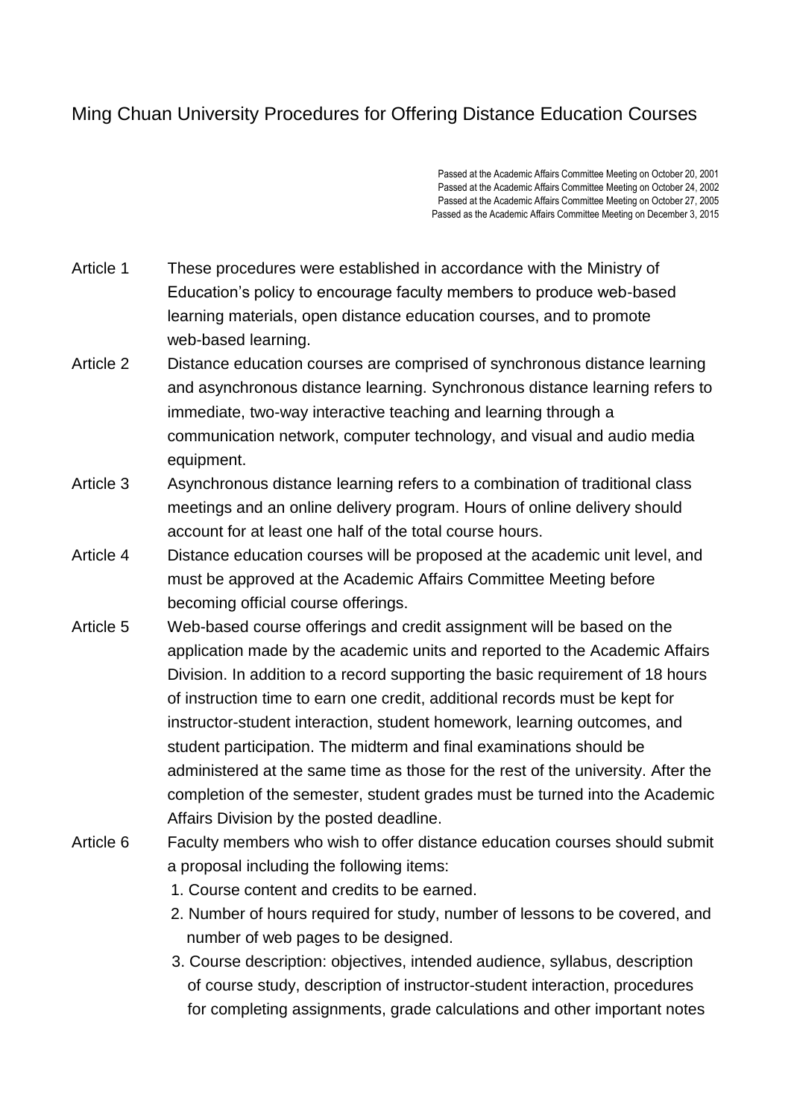## Ming Chuan University Procedures for Offering Distance Education Courses

Passed at the Academic Affairs Committee Meeting on October 20, 2001 Passed at the Academic Affairs Committee Meeting on October 24, 2002 Passed at the Academic Affairs Committee Meeting on October 27, 2005 Passed as the Academic Affairs Committee Meeting on December 3, 2015

- Article 1 These procedures were established in accordance with the Ministry of Education's policy to encourage faculty members to produce web-based learning materials, open distance education courses, and to promote web-based learning.
- Article 2 Distance education courses are comprised of synchronous distance learning and asynchronous distance learning. Synchronous distance learning refers to immediate, two-way interactive teaching and learning through a communication network, computer technology, and visual and audio media equipment.
- Article 3 Asynchronous distance learning refers to a combination of traditional class meetings and an online delivery program. Hours of online delivery should account for at least one half of the total course hours.
- Article 4 Distance education courses will be proposed at the academic unit level, and must be approved at the Academic Affairs Committee Meeting before becoming official course offerings.
- Article 5 Web-based course offerings and credit assignment will be based on the application made by the academic units and reported to the Academic Affairs Division. In addition to a record supporting the basic requirement of 18 hours of instruction time to earn one credit, additional records must be kept for instructor-student interaction, student homework, learning outcomes, and student participation. The midterm and final examinations should be administered at the same time as those for the rest of the university. After the completion of the semester, student grades must be turned into the Academic Affairs Division by the posted deadline.
- Article 6 Faculty members who wish to offer distance education courses should submit a proposal including the following items:
	- 1. Course content and credits to be earned.
	- 2. Number of hours required for study, number of lessons to be covered, and number of web pages to be designed.
	- 3. Course description: objectives, intended audience, syllabus, description of course study, description of instructor-student interaction, procedures for completing assignments, grade calculations and other important notes